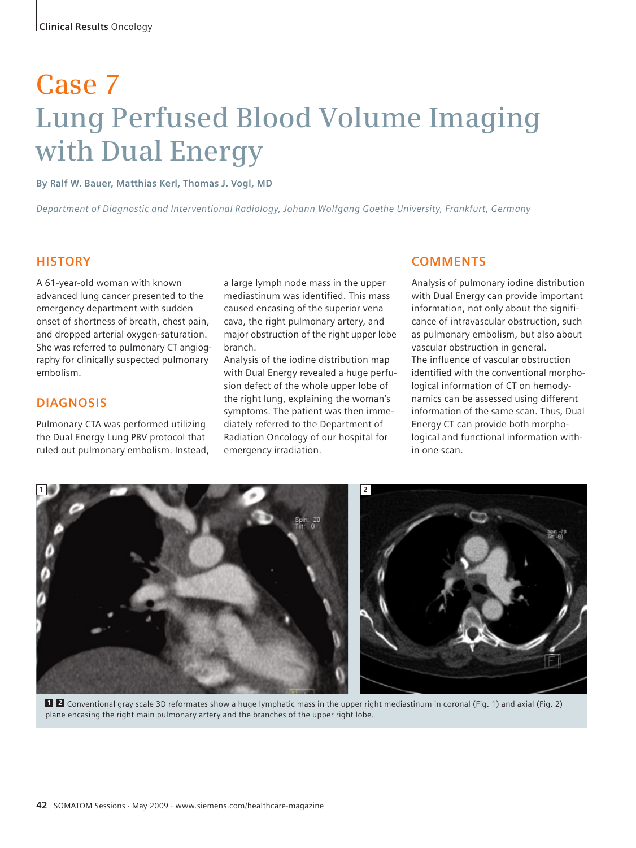# **Case 7 Lung Perfused Blood Volume Imaging with Dual Energy**

**By Ralf W. Bauer, Matthias Kerl, Thomas J. Vogl, MD**

*Department of Diagnostic and Interventional Radiology, Johann Wolfgang Goethe University, Frankfurt, Germany*

### **HISTORY**

A 61-year-old woman with known advanced lung cancer presented to the emergency department with sudden onset of shortness of breath, chest pain, and dropped arterial oxygen-saturation. She was referred to pulmonary CT angiography for clinically suspected pulmonary embolism.

## **DIAGNOSIS**

Pulmonary CTA was performed utilizing the Dual Energy Lung PBV protocol that ruled out pulmonary embolism. Instead,

a large lymph node mass in the upper mediastinum was identified. This mass caused encasing of the superior vena cava, the right pulmonary artery, and major obstruction of the right upper lobe branch.

Analysis of the iodine distribution map with Dual Energy revealed a huge perfusion defect of the whole upper lobe of the right lung, explaining the woman's symptoms. The patient was then immediately referred to the Department of Radiation Oncology of our hospital for emergency irradiation.

#### **COMMENTS**

Analysis of pulmonary iodine distribution with Dual Energy can provide important information, not only about the significance of intravascular obstruction, such as pulmonary embolism, but also about vascular obstruction in general. The influence of vascular obstruction identified with the conventional morphological information of CT on hemodynamics can be assessed using different information of the same scan. Thus, Dual Energy CT can provide both morphological and functional information within one scan.



Conventional gray scale 3D reformates show a huge lymphatic mass in the upper right mediastinum in coronal (Fig. 1) and axial (Fig. 2) **1 2**plane encasing the right main pulmonary artery and the branches of the upper right lobe.